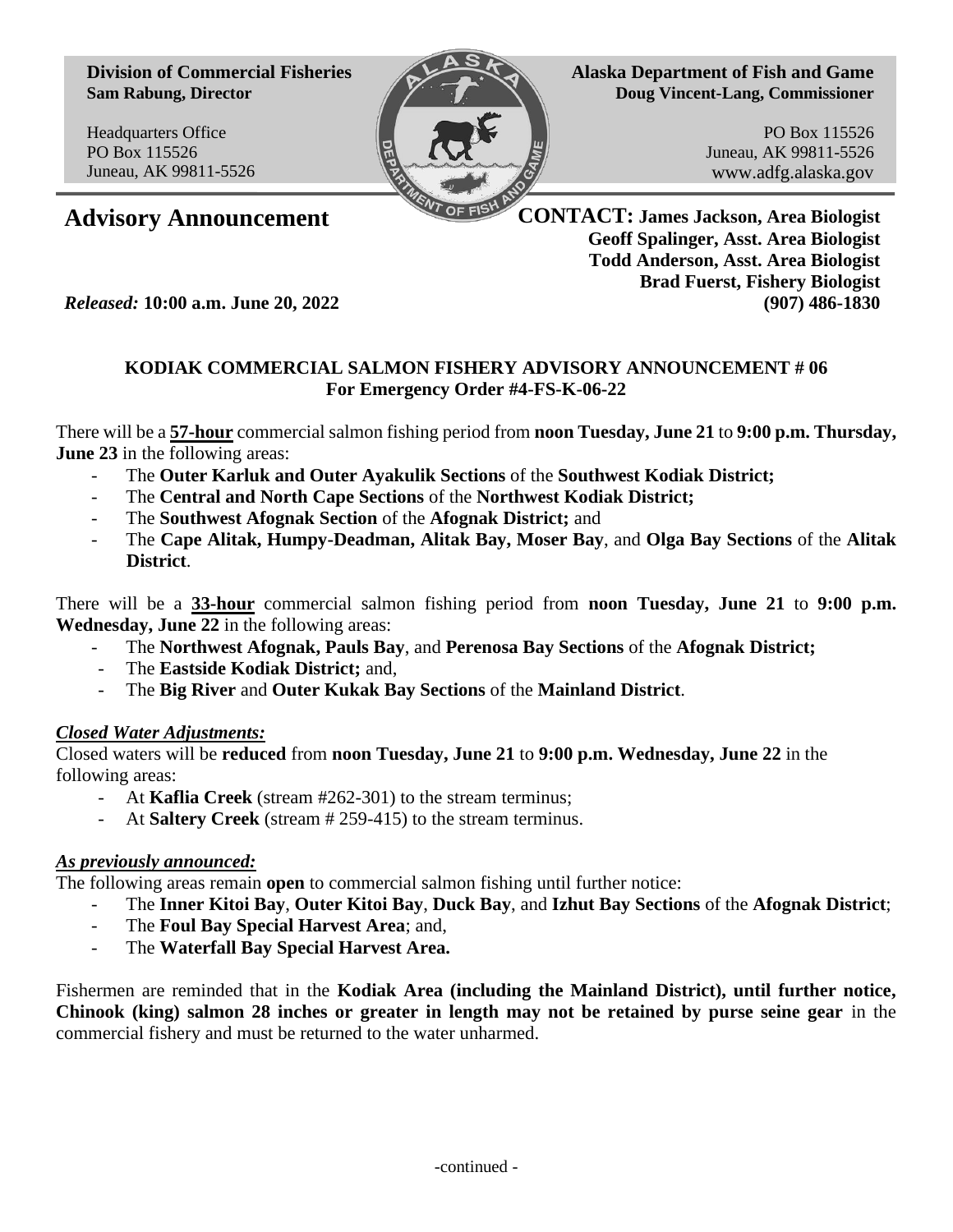**Division of Commercial Fisheries Sam Rabung, Director**

Headquarters Office PO Box 115526 Juneau, AK 99811-5526



**Alaska Department of Fish and Game Doug Vincent-Lang, Commissioner**

> PO Box 115526 Juneau, AK 99811-5526 www.adfg.alaska.gov

**Advisory Announcement CONTACT: James Jackson, Area Biologist Geoff Spalinger, Asst. Area Biologist Todd Anderson, Asst. Area Biologist Brad Fuerst, Fishery Biologist** *Released:* **10:00 a.m. June 20, 2022 (907) 486-1830**

## **KODIAK COMMERCIAL SALMON FISHERY ADVISORY ANNOUNCEMENT # 06 For Emergency Order #4-FS-K-06-22**

There will be a **57-hour** commercial salmon fishing period from **noon Tuesday, June 21** to **9:00 p.m. Thursday, June 23** in the following areas:

- The **Outer Karluk and Outer Ayakulik Sections** of the **Southwest Kodiak District;**
- The **Central and North Cape Sections** of the **Northwest Kodiak District;**
- The **Southwest Afognak Section** of the **Afognak District;** and
- The **Cape Alitak, Humpy-Deadman, Alitak Bay, Moser Bay**, and **Olga Bay Sections** of the **Alitak District**.

There will be a **33-hour** commercial salmon fishing period from **noon Tuesday, June 21** to **9:00 p.m. Wednesday, June 22** in the following areas:

- The **Northwest Afognak, Pauls Bay**, and **Perenosa Bay Sections** of the **Afognak District;**
- The **Eastside Kodiak District;** and,
- The **Big River** and **Outer Kukak Bay Sections** of the **Mainland District**.

## *Closed Water Adjustments:*

Closed waters will be **reduced** from **noon Tuesday, June 21** to **9:00 p.m. Wednesday, June 22** in the following areas:

- At **Kaflia Creek** (stream #262-301) to the stream terminus;
- At **Saltery Creek** (stream # 259-415) to the stream terminus.

## *As previously announced:*

The following areas remain **open** to commercial salmon fishing until further notice:

- The **Inner Kitoi Bay**, **Outer Kitoi Bay**, **Duck Bay**, and **Izhut Bay Sections** of the **Afognak District**;
- The **Foul Bay Special Harvest Area**; and,
- The **Waterfall Bay Special Harvest Area.**

Fishermen are reminded that in the **Kodiak Area (including the Mainland District), until further notice, Chinook (king) salmon 28 inches or greater in length may not be retained by purse seine gear** in the commercial fishery and must be returned to the water unharmed.